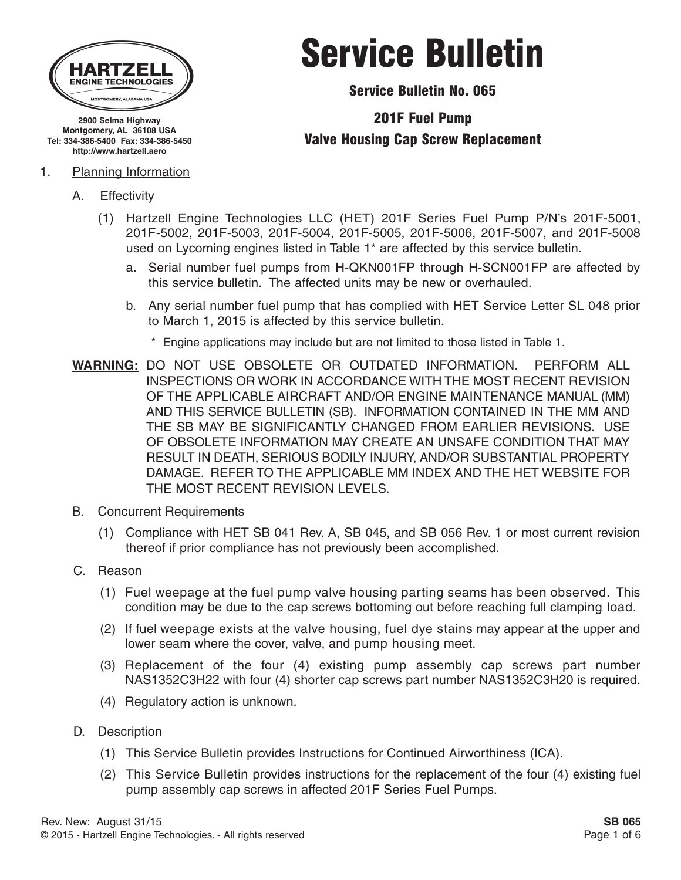

**2900 Selma Highway Montgomery, AL 36108 USA Tel: 334-386-5400 Fax: 334-386-5450 http://www.hartzell.aero**

- 1. Planning Information
	- A. Effectivity
		- (1) Hartzell Engine Technologies LLC (HET) 201F Series Fuel Pump P/N's 201F-5001, 201F-5002, 201F-5003, 201F-5004, 201F-5005, 201F-5006, 201F-5007, and 201F-5008 used on Lycoming engines listed in Table 1\* are affected by this service bulletin.
			- a. Serial number fuel pumps from H-QKN001FP through H-SCN001FP are affected by this service bulletin. The affected units may be new or overhauled.
			- b. Any serial number fuel pump that has complied with HET Service Letter SL 048 prior to March 1, 2015 is affected by this service bulletin.
				- \* Engine applications may include but are not limited to those listed in Table 1.
	- **WARNING:** DO NOT USE OBSOLETE OR OUTDATED INFORMATION. PERFORM ALL INSPECTIONS OR WORK IN ACCORDANCE WITH THE MOST RECENT REVISION OF THE APPLICABLE AIRCRAFT AND/OR ENGINE MAINTENANCE MANUAL (MM) AND THIS SERVICE BULLETIN (SB). INFORMATION CONTAINED IN THE MM AND THE SB MAY BE SIGNIFICANTLY CHANGED FROM EARLIER REVISIONS. USE OF OBSOLETE INFORMATION MAY CREATE AN UNSAFE CONDITION THAT MAY RESULT IN DEATH, SERIOUS BODILY INJURY, AND/OR SUBSTANTIAL PROPERTY DAMAGE. REFER TO THE APPLICABLE MM INDEX AND THE HET WEBSITE FOR THE MOST RECENT REVISION LEVELS.
	- B. Concurrent Requirements
		- (1) Compliance with HET SB 041 Rev. A, SB 045, and SB 056 Rev. 1 or most current revision thereof if prior compliance has not previously been accomplished.
	- C. Reason
		- (1) Fuel weepage at the fuel pump valve housing parting seams has been observed. This condition may be due to the cap screws bottoming out before reaching full clamping load.
		- (2) If fuel weepage exists at the valve housing, fuel dye stains may appear at the upper and lower seam where the cover, valve, and pump housing meet.
		- (3) Replacement of the four (4) existing pump assembly cap screws part number NAS1352C3H22 with four (4) shorter cap screws part number NAS1352C3H20 is required.
		- (4) Regulatory action is unknown.
	- D. Description
		- (1) This Service Bulletin provides Instructions for Continued Airworthiness (ICA).
		- (2) This Service Bulletin provides instructions for the replacement of the four (4) existing fuel pump assembly cap screws in affected 201F Series Fuel Pumps.

# Service Bulletin

Service Bulletin No. 065

## 201F Fuel Pump Valve Housing Cap Screw Replacement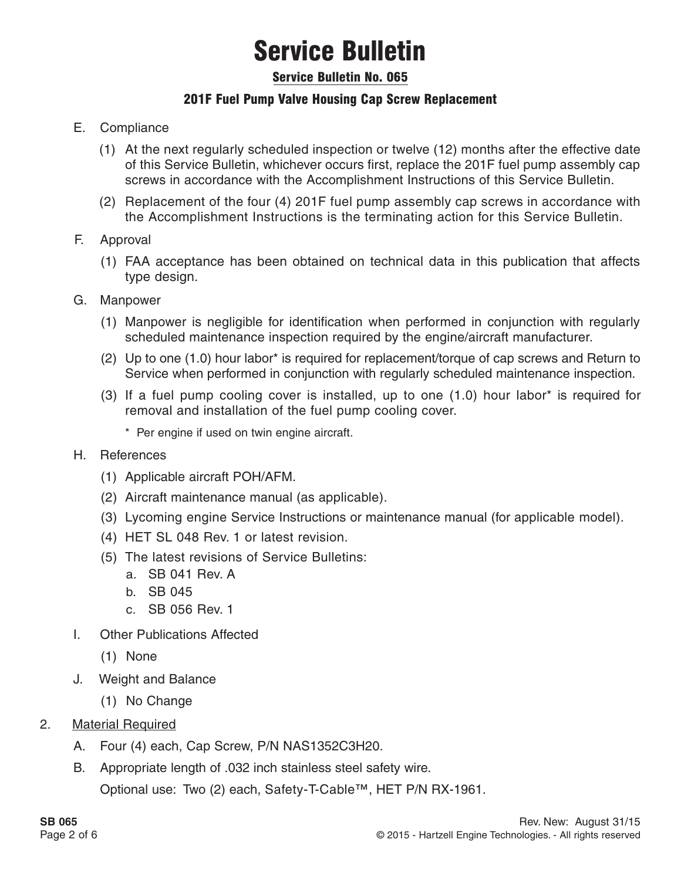### Service Bulletin No. 065

### 201F Fuel Pump Valve Housing Cap Screw Replacement

- E. Compliance
	- (1) At the next regularly scheduled inspection or twelve (12) months after the effective date of this Service Bulletin, whichever occurs first, replace the 201F fuel pump assembly cap screws in accordance with the Accomplishment Instructions of this Service Bulletin.
	- (2) Replacement of the four (4) 201F fuel pump assembly cap screws in accordance with the Accomplishment Instructions is the terminating action for this Service Bulletin.
- F. Approval
	- (1) FAA acceptance has been obtained on technical data in this publication that affects type design.
- G. Manpower
	- (1) Manpower is negligible for identification when performed in conjunction with regularly scheduled maintenance inspection required by the engine/aircraft manufacturer.
	- (2) Up to one (1.0) hour labor\* is required for replacement/torque of cap screws and Return to Service when performed in conjunction with regularly scheduled maintenance inspection.
	- (3) If a fuel pump cooling cover is installed, up to one (1.0) hour labor\* is required for removal and installation of the fuel pump cooling cover.
		- \* Per engine if used on twin engine aircraft.
- H. References
	- (1) Applicable aircraft POH/AFM.
	- (2) Aircraft maintenance manual (as applicable).
	- (3) Lycoming engine Service Instructions or maintenance manual (for applicable model).
	- (4) HET SL 048 Rev. 1 or latest revision.
	- (5) The latest revisions of Service Bulletins:
		- a. SB 041 Rev. A
		- b. SB 045
		- c. SB 056 Rev. 1
- I. Other Publications Affected
	- (1) None
- J. Weight and Balance
	- (1) No Change

#### 2. Material Required

- A. Four (4) each, Cap Screw, P/N NAS1352C3H20.
- B. Appropriate length of .032 inch stainless steel safety wire.

Optional use: Two (2) each, Safety-T-Cable™, HET P/N RX-1961.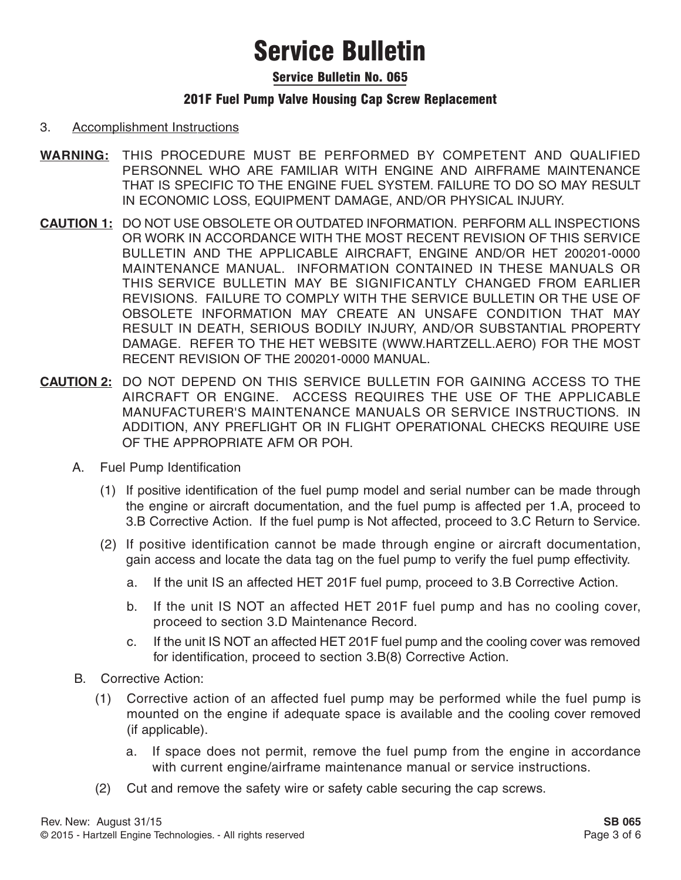### Service Bulletin No. 065

### 201F Fuel Pump Valve Housing Cap Screw Replacement

#### 3. Accomplishment Instructions

- **WARNING:** THIS PROCEDURE MUST BE PERFORMED BY COMPETENT AND QUALIFIED PERSONNEL WHO ARE FAMILIAR WITH ENGINE AND AIRFRAME MAINTENANCE THAT IS SPECIFIC TO THE ENGINE FUEL SYSTEM. FAILURE TO DO SO MAY RESULT IN ECONOMIC LOSS, EQUIPMENT DAMAGE, AND/OR PHYSICAL INJURY.
- **CAUTION 1:** DO NOT USE OBSOLETE OR OUTDATED INFORMATION. PERFORM ALL INSPECTIONS OR WORK IN ACCORDANCE WITH THE MOST RECENT REVISION OF THIS SERVICE BULLETIN AND THE APPLICABLE AIRCRAFT, ENGINE AND/OR HET 200201-0000 MAINTENANCE MANUAL. INFORMATION CONTAINED IN THESE MANUALS OR THIS SERVICE BULLETIN MAY BE SIGNIFICANTLY CHANGED FROM EARLIER REVISIONS. FAILURE TO COMPLY WITH THE SERVICE BULLETIN OR THE USE OF OBSOLETE INFORMATION MAY CREATE AN UNSAFE CONDITION THAT MAY RESULT IN DEATH, SERIOUS BODILY INJURY, AND/OR SUBSTANTIAL PROPERTY DAMAGE. REFER TO THE HET WEBSITE (WWW.HARTZELL.AERO) FOR THE MOST RECENT REVISION OF THE 200201-0000 MANUAL.
- **CAUTION 2:** DO NOT DEPEND ON THIS SERVICE BULLETIN FOR GAINING ACCESS TO THE AIRCRAFT OR ENGINE. ACCESS REQUIRES THE USE OF THE APPLICABLE MANUFACTURER'S MAINTENANCE MANUALS OR SERVICE INSTRUCTIONS. IN ADDITION, ANY PREFLIGHT OR IN FLIGHT OPERATIONAL CHECKS REQUIRE USE OF THE APPROPRIATE AFM OR POH.
	- A. Fuel Pump Identification
		- (1) If positive identification of the fuel pump model and serial number can be made through the engine or aircraft documentation, and the fuel pump is affected per 1.A, proceed to 3.B Corrective Action. If the fuel pump is Not affected, proceed to 3.C Return to Service.
		- (2) If positive identification cannot be made through engine or aircraft documentation, gain access and locate the data tag on the fuel pump to verify the fuel pump effectivity.
			- a. If the unit IS an affected HET 201F fuel pump, proceed to 3.B Corrective Action.
			- b. If the unit IS NOT an affected HET 201F fuel pump and has no cooling cover, proceed to section 3.D Maintenance Record.
			- c. If the unit IS NOT an affected HET 201F fuel pump and the cooling cover was removed for identification, proceed to section 3.B(8) Corrective Action.
	- B. Corrective Action:
		- (1) Corrective action of an affected fuel pump may be performed while the fuel pump is mounted on the engine if adequate space is available and the cooling cover removed (if applicable).
			- a. If space does not permit, remove the fuel pump from the engine in accordance with current engine/airframe maintenance manual or service instructions.
		- (2) Cut and remove the safety wire or safety cable securing the cap screws.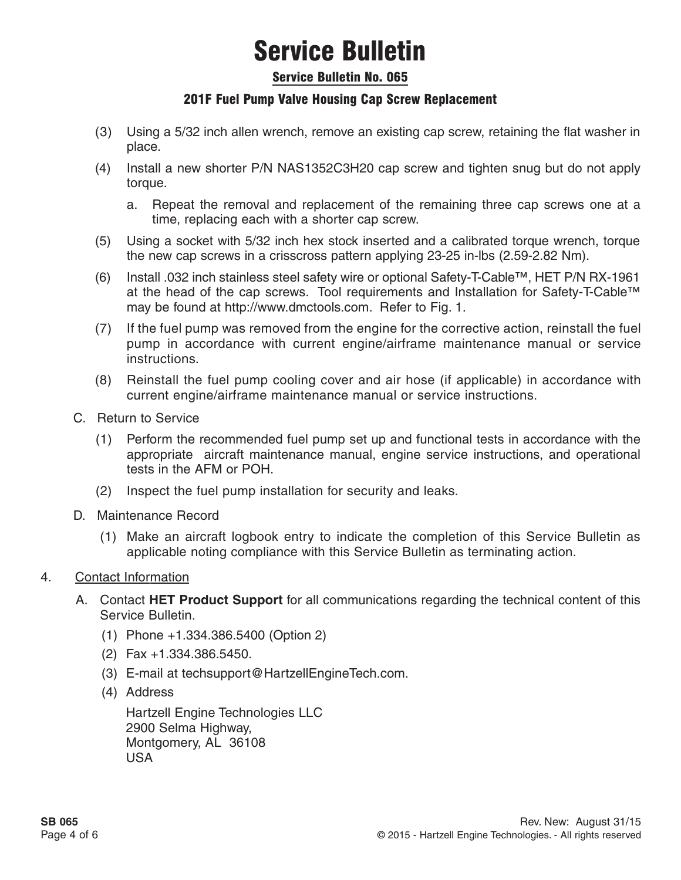#### Service Bulletin No. 065

### 201F Fuel Pump Valve Housing Cap Screw Replacement

- (3) Using a 5/32 inch allen wrench, remove an existing cap screw, retaining the flat washer in place.
- (4) Install a new shorter P/N NAS1352C3H20 cap screw and tighten snug but do not apply torque.
	- a. Repeat the removal and replacement of the remaining three cap screws one at a time, replacing each with a shorter cap screw.
- (5) Using a socket with 5/32 inch hex stock inserted and a calibrated torque wrench, torque the new cap screws in a crisscross pattern applying 23-25 in-lbs (2.59-2.82 Nm).
- (6) Install .032 inch stainless steel safety wire or optional Safety-T-Cable™, HET P/N RX-1961 at the head of the cap screws. Tool requirements and Installation for Safety-T-Cable™ may be found at http://www.dmctools.com. Refer to Fig. 1.
- (7) If the fuel pump was removed from the engine for the corrective action, reinstall the fuel pump in accordance with current engine/airframe maintenance manual or service instructions.
- (8) Reinstall the fuel pump cooling cover and air hose (if applicable) in accordance with current engine/airframe maintenance manual or service instructions.
- C. Return to Service
	- (1) Perform the recommended fuel pump set up and functional tests in accordance with the appropriate aircraft maintenance manual, engine service instructions, and operational tests in the AFM or POH.
	- (2) Inspect the fuel pump installation for security and leaks.
- D. Maintenance Record
	- (1) Make an aircraft logbook entry to indicate the completion of this Service Bulletin as applicable noting compliance with this Service Bulletin as terminating action.

#### 4. Contact Information

- A. Contact **HET Product Support** for all communications regarding the technical content of this Service Bulletin.
	- (1) Phone +1.334.386.5400 (Option 2)
	- (2) Fax +1.334.386.5450.
	- (3) E-mail at techsupport@HartzellEngineTech.com.
	- (4) Address

Hartzell Engine Technologies LLC 2900 Selma Highway, Montgomery, AL 36108 USA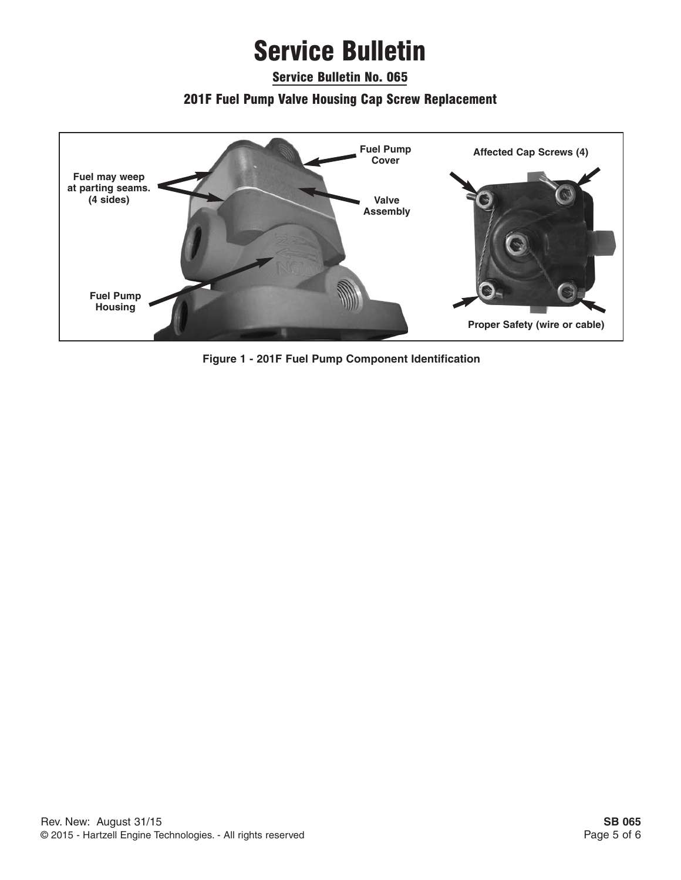Service Bulletin No. 065

### 201F Fuel Pump Valve Housing Cap Screw Replacement



**Figure 1 - 201F Fuel Pump Component Identification**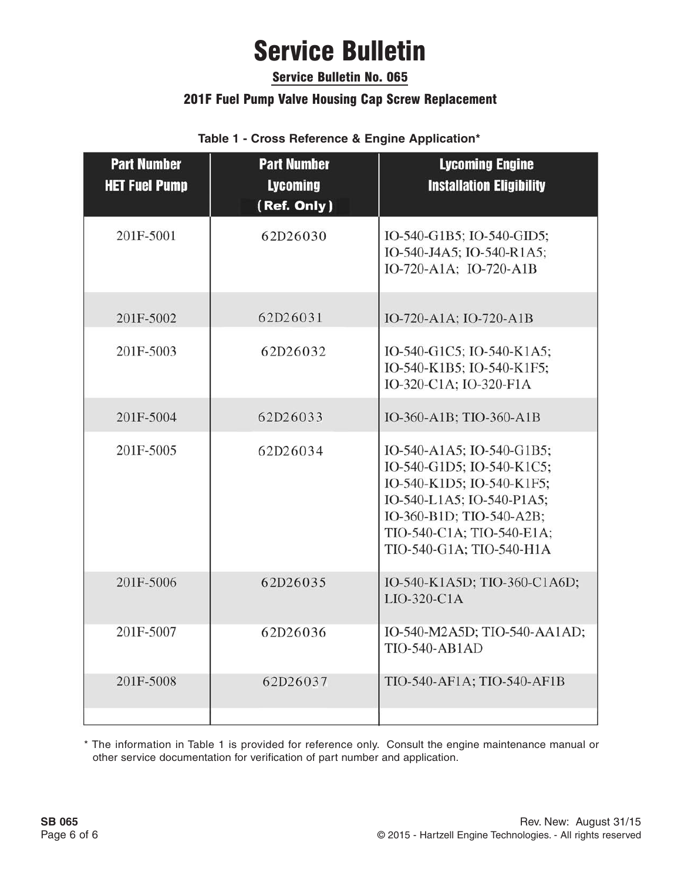### Service Bulletin No. 065

### 201F Fuel Pump Valve Housing Cap Screw Replacement

**Table 1 - Cross Reference & Engine Application\***

| <b>Part Number</b><br><b>HET Fuel Pump</b> | <b>Part Number</b><br><b>Lycoming</b><br>(Ref. Only) | <b>Lycoming Engine</b><br><b>Installation Eligibility</b>                                                                                                                                             |  |
|--------------------------------------------|------------------------------------------------------|-------------------------------------------------------------------------------------------------------------------------------------------------------------------------------------------------------|--|
| 201F-5001                                  | 62D26030                                             | IO-540-G1B5; IO-540-GID5;<br>IO-540-J4A5; IO-540-R1A5;<br>IO-720-A1A; IO-720-A1B                                                                                                                      |  |
| 201F-5002                                  | 62D26031                                             | IO-720-A1A; IO-720-A1B                                                                                                                                                                                |  |
| 201F-5003                                  | 62D26032                                             | IO-540-G1C5; IO-540-K1A5;<br>IO-540-K1B5; IO-540-K1F5;<br>IO-320-C1A; IO-320-F1A                                                                                                                      |  |
| 201F-5004                                  | 62D26033                                             | IO-360-A1B; TIO-360-A1B                                                                                                                                                                               |  |
| 201F-5005                                  | 62D26034                                             | IO-540-A1A5; IO-540-G1B5;<br>IO-540-G1D5; IO-540-K1C5;<br>IO-540-K1D5; IO-540-K1F5;<br>IO-540-L1A5; IO-540-P1A5;<br>IO-360-B1D; TIO-540-A2B;<br>TIO-540-C1A; TIO-540-E1A;<br>TIO-540-G1A; TIO-540-H1A |  |
| 201F-5006                                  | 62D26035                                             | IO-540-K1A5D; TIO-360-C1A6D;<br>LIO-320-C1A                                                                                                                                                           |  |
| 201F-5007                                  | 62D26036                                             | IO-540-M2A5D; TIO-540-AA1AD;<br><b>TIO-540-AB1AD</b>                                                                                                                                                  |  |
| 201F-5008                                  | 62D26037                                             | TIO-540-AF1A; TIO-540-AF1B                                                                                                                                                                            |  |

\* The information in Table 1 is provided for reference only. Consult the engine maintenance manual or other service documentation for verification of part number and application.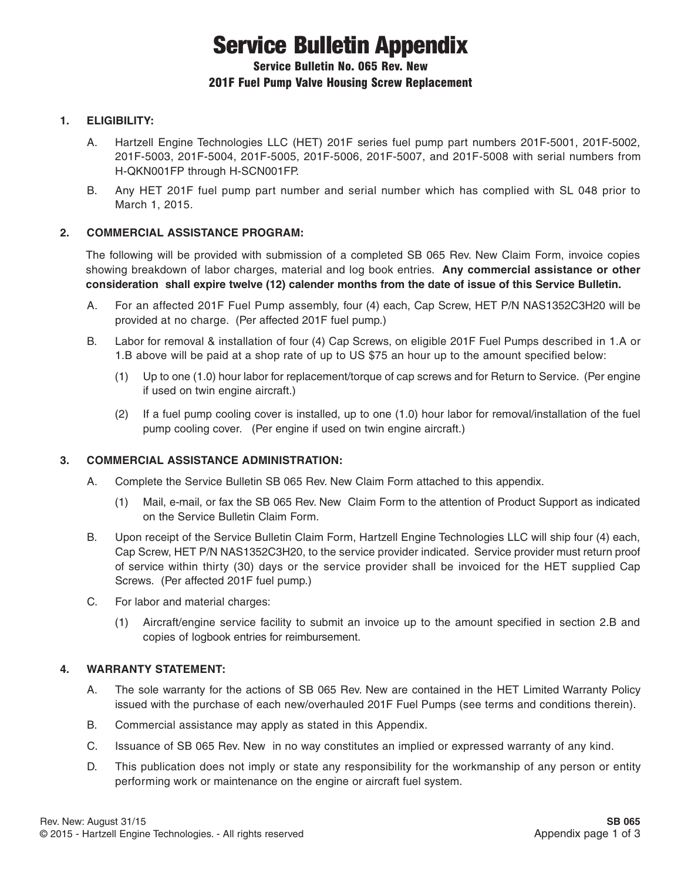# Service Bulletin Appendix

#### Service Bulletin No. 065 Rev. New 201F Fuel Pump Valve Housing Screw Replacement

#### **1. ELIGIBILITY:**

- A. Hartzell Engine Technologies LLC (HET) 201F series fuel pump part numbers 201F-5001, 201F-5002, 201F-5003, 201F-5004, 201F-5005, 201F-5006, 201F-5007, and 201F-5008 with serial numbers from H-QKN001FP through H-SCN001FP.
- B. Any HET 201F fuel pump part number and serial number which has complied with SL 048 prior to March 1, 2015.

#### **2. COMMERCIAL ASSISTANCE PROGRAM:**

The following will be provided with submission of a completed SB 065 Rev. New Claim Form, invoice copies showing breakdown of labor charges, material and log book entries. **Any commercial assistance or other consideration shall expire twelve (12) calender months from the date of issue of this Service Bulletin.**

- A. For an affected 201F Fuel Pump assembly, four (4) each, Cap Screw, HET P/N NAS1352C3H20 will be provided at no charge. (Per affected 201F fuel pump.)
- B. Labor for removal & installation of four (4) Cap Screws, on eligible 201F Fuel Pumps described in 1.A or 1.B above will be paid at a shop rate of up to US \$75 an hour up to the amount specified below:
	- (1) Up to one (1.0) hour labor for replacement/torque of cap screws and for Return to Service. (Per engine if used on twin engine aircraft.)
	- (2) If a fuel pump cooling cover is installed, up to one (1.0) hour labor for removal/installation of the fuel pump cooling cover. (Per engine if used on twin engine aircraft.)

#### **3. COMMERCIAL ASSISTANCE ADMINISTRATION:**

- A. Complete the Service Bulletin SB 065 Rev. New Claim Form attached to this appendix.
	- (1) Mail, e-mail, or fax the SB 065 Rev. New Claim Form to the attention of Product Support as indicated on the Service Bulletin Claim Form.
- B. Upon receipt of the Service Bulletin Claim Form, Hartzell Engine Technologies LLC will ship four (4) each, Cap Screw, HET P/N NAS1352C3H20, to the service provider indicated. Service provider must return proof of service within thirty (30) days or the service provider shall be invoiced for the HET supplied Cap Screws. (Per affected 201F fuel pump.)
- C. For labor and material charges:
	- (1) Aircraft/engine service facility to submit an invoice up to the amount specified in section 2.B and copies of logbook entries for reimbursement.

#### **4. WARRANTY STATEMENT:**

- A. The sole warranty for the actions of SB 065 Rev. New are contained in the HET Limited Warranty Policy issued with the purchase of each new/overhauled 201F Fuel Pumps (see terms and conditions therein).
- B. Commercial assistance may apply as stated in this Appendix.
- C. Issuance of SB 065 Rev. New in no way constitutes an implied or expressed warranty of any kind.
- D. This publication does not imply or state any responsibility for the workmanship of any person or entity performing work or maintenance on the engine or aircraft fuel system.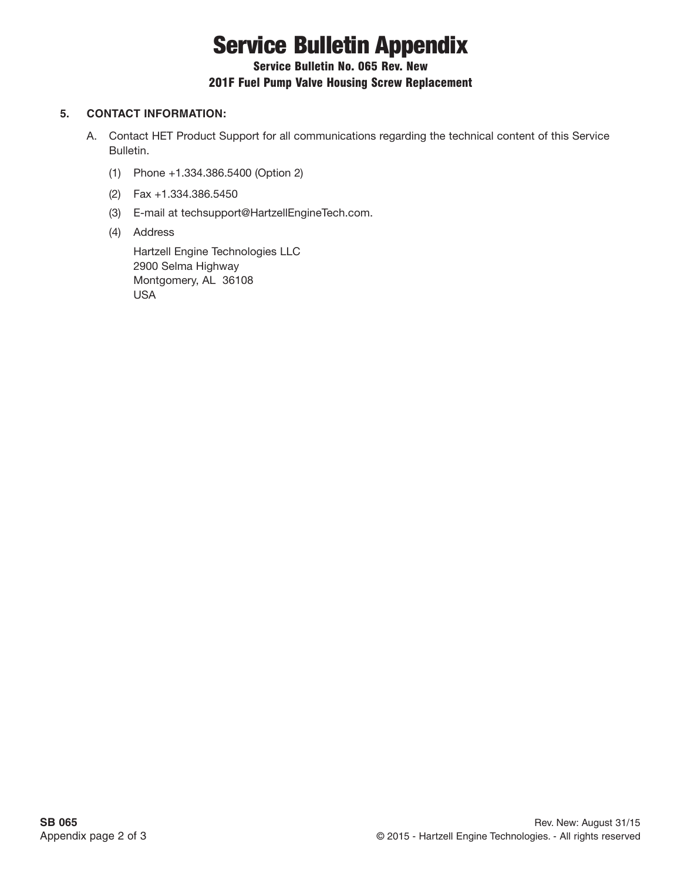# Service Bulletin Appendix

### Service Bulletin No. 065 Rev. New

#### 201F Fuel Pump Valve Housing Screw Replacement

#### **5. CONTACT INFORMATION:**

- A. Contact HET Product Support for all communications regarding the technical content of this Service Bulletin.
	- (1) Phone +1.334.386.5400 (Option 2)
	- (2) Fax +1.334.386.5450
	- (3) E-mail at techsupport@HartzellEngineTech.com.
	- (4) Address

Hartzell Engine Technologies LLC 2900 Selma Highway Montgomery, AL 36108 USA